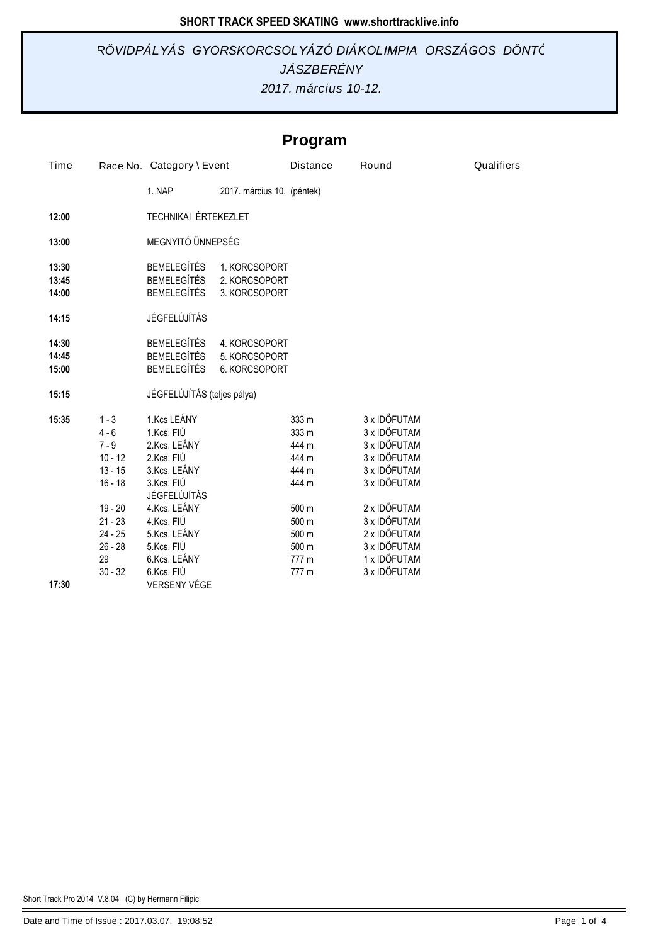## *2017. március 10-12. JÁSZBERÉNY RÖVIDPÁLYÁS GYORSKORCSOLYÁZÓ DIÁKOLIMPIA ORSZÁGOS DÖNTŐ*

# **Program**

| Time                    | Race No. Category \ Event                                                         |                                                                                                                       |                                                 | <b>Distance</b>                                             | Round                                                                                                        | Qualifiers |
|-------------------------|-----------------------------------------------------------------------------------|-----------------------------------------------------------------------------------------------------------------------|-------------------------------------------------|-------------------------------------------------------------|--------------------------------------------------------------------------------------------------------------|------------|
|                         |                                                                                   | 1. NAP                                                                                                                | 2017. március 10. (péntek)                      |                                                             |                                                                                                              |            |
| 12:00                   |                                                                                   | TECHNIKAI ÉRTEKEZLET                                                                                                  |                                                 |                                                             |                                                                                                              |            |
| 13:00                   |                                                                                   | MEGNYITÓ ÜNNEPSÉG                                                                                                     |                                                 |                                                             |                                                                                                              |            |
| 13:30<br>13:45<br>14:00 |                                                                                   | <b>BEMELEGÍTÉS</b><br><b>BEMELEGÍTÉS</b><br><b>BEMELEGÍTÉS</b>                                                        | 1. KORCSOPORT<br>2. KORCSOPORT<br>3. KORCSOPORT |                                                             |                                                                                                              |            |
| 14:15                   |                                                                                   | JÉGFELÚJÍTÁS                                                                                                          |                                                 |                                                             |                                                                                                              |            |
| 14:30<br>14:45<br>15:00 |                                                                                   | <b>BEMELEGÍTÉS</b><br><b>BEMELEGÍTÉS</b><br><b>BEMELEGÍTÉS</b>                                                        | 4. KORCSOPORT<br>5. KORCSOPORT<br>6. KORCSOPORT |                                                             |                                                                                                              |            |
| 15:15                   |                                                                                   | JÉGFELÚJÍTÁS (teljes pálya)                                                                                           |                                                 |                                                             |                                                                                                              |            |
| 15:35                   | $1 - 3$<br>$4 - 6$<br>$7 - 9$<br>$10 - 12$<br>$13 - 15$<br>$16 - 18$<br>$19 - 20$ | 1.Kcs LEÁNY<br>1.Kcs. FIÚ<br>2.Kcs. LEÁNY<br>2.Kcs. FIÚ<br>3.Kcs. LEÁNY<br>3.Kcs. FIÚ<br>JÉGFELÚJÍTÁS<br>4.Kcs. LEÁNY |                                                 | 333 m<br>333 m<br>444 m<br>444 m<br>444 m<br>444 m<br>500 m | 3 x IDŐFUTAM<br>3 x IDŐFUTAM<br>3 x IDŐFUTAM<br>3 x IDŐFUTAM<br>3 x IDŐFUTAM<br>3 x IDŐFUTAM<br>2 x IDŐFUTAM |            |
|                         | $21 - 23$<br>$24 - 25$                                                            | 4.Kcs. FIÚ<br>5.Kcs. LEÁNY                                                                                            |                                                 | 500 m<br>500 m                                              | 3 x IDŐFUTAM<br>2 x IDŐFUTAM                                                                                 |            |
|                         | $26 - 28$<br>29<br>$30 - 32$                                                      | 5.Kcs. FIÚ<br>6.Kcs. LEÁNY<br>6.Kcs. FIÚ                                                                              |                                                 | 500 m<br>777 m<br>777 m                                     | 3 x IDŐFUTAM<br>1 x IDŐFUTAM<br>3 x IDŐFUTAM                                                                 |            |
| 17:30                   |                                                                                   | VERSENY VÉGE                                                                                                          |                                                 |                                                             |                                                                                                              |            |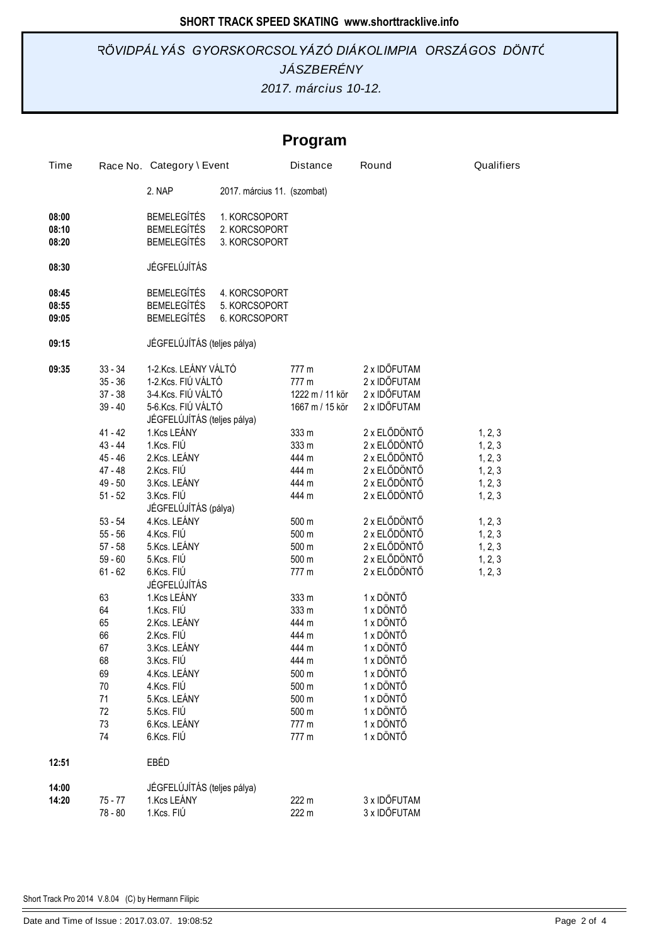## *2017. március 10-12. JÁSZBERÉNY RÖVIDPÁLYÁS GYORSKORCSOLYÁZÓ DIÁKOLIMPIA ORSZÁGOS DÖNTŐ*

# **Program**

| Time  |           | Race No. Category \ Event   |                             | <b>Distance</b> | Round                  | Qualifiers |
|-------|-----------|-----------------------------|-----------------------------|-----------------|------------------------|------------|
|       |           | 2. NAP                      | 2017. március 11. (szombat) |                 |                        |            |
| 08:00 |           | <b>BEMELEGÍTÉS</b>          | 1. KORCSOPORT               |                 |                        |            |
| 08:10 |           | <b>BEMELEGÍTÉS</b>          | 2. KORCSOPORT               |                 |                        |            |
| 08:20 |           | <b>BEMELEGÍTÉS</b>          | 3. KORCSOPORT               |                 |                        |            |
|       |           |                             |                             |                 |                        |            |
| 08:30 |           | JÉGFELÚJÍTÁS                |                             |                 |                        |            |
| 08:45 |           | <b>BEMELEGÍTÉS</b>          | 4. KORCSOPORT               |                 |                        |            |
| 08:55 |           | <b>BEMELEGÍTÉS</b>          | 5. KORCSOPORT               |                 |                        |            |
| 09:05 |           | <b>BEMELEGÍTÉS</b>          | 6. KORCSOPORT               |                 |                        |            |
|       |           |                             |                             |                 |                        |            |
| 09:15 |           | JÉGFELÚJÍTÁS (teljes pálya) |                             |                 |                        |            |
| 09:35 | $33 - 34$ | 1-2.Kcs. LEÁNY VÁLTÓ        |                             | 777 m           | 2 x IDŐFUTAM           |            |
|       | $35 - 36$ | 1-2.Kcs. FIÚ VÁLTÓ          |                             | 777 m           | 2 x IDŐFUTAM           |            |
|       | $37 - 38$ | 3-4.Kcs. FIÚ VÁLTÓ          |                             | 1222 m / 11 kör | 2 x IDŐFUTAM           |            |
|       | $39 - 40$ | 5-6.Kcs. FIÚ VÁLTÓ          |                             | 1667 m / 15 kör | 2 x IDŐFUTAM           |            |
|       |           | JÉGFELÚJÍTÁS (teljes pálya) |                             |                 |                        |            |
|       | $41 - 42$ | 1.Kcs LEÁNY                 |                             | 333 m           | 2 x ELŐDÖNTŐ           | 1, 2, 3    |
|       | $43 - 44$ | 1.Kcs. FIÚ                  |                             | 333 m           | 2 x ELŐDÖNTŐ           | 1, 2, 3    |
|       | 45 - 46   | 2.Kcs. LEÁNY                |                             | 444 m           | 2 x ELŐDÖNTŐ           | 1, 2, 3    |
|       | 47 - 48   | 2.Kcs. FIÚ                  |                             | 444 m           | 2 x ELŐDÖNTŐ           | 1, 2, 3    |
|       | $49 - 50$ | 3.Kcs. LEÁNY                |                             | 444 m           | 2 x ELŐDÖNTŐ           | 1, 2, 3    |
|       | $51 - 52$ | 3.Kcs. FIÚ                  |                             | 444 m           | 2 x ELŐDÖNTŐ           | 1, 2, 3    |
|       |           | JÉGFELÚJÍTÁS (pálya)        |                             |                 |                        |            |
|       | $53 - 54$ | 4.Kcs. LEÁNY                |                             | 500 m           | 2 x ELŐDÖNTŐ           | 1, 2, 3    |
|       | $55 - 56$ | 4.Kcs. FIÚ                  |                             | 500 m           | 2 x ELŐDÖNTŐ           | 1, 2, 3    |
|       | $57 - 58$ | 5.Kcs. LEÁNY                |                             | 500 m           | 2 x ELŐDÖNTŐ           | 1, 2, 3    |
|       | $59 - 60$ | 5.Kcs. FIÚ                  |                             | 500 m           | 2 x ELŐDÖNTŐ           | 1, 2, 3    |
|       | $61 - 62$ | 6.Kcs. FIÚ                  |                             | 777 m           | 2 x ELŐDÖNTŐ           | 1, 2, 3    |
|       |           | JÉGFELÚJÍTÁS                |                             |                 |                        |            |
|       | 63        | 1.Kcs LEÁNY<br>1.Kcs. FIÚ   |                             | 333 m           | 1 x DÖNTŐ              |            |
|       | 64        | 2.Kcs. LEÁNY                |                             | 333 m<br>444 m  | 1 x DÖNTŐ<br>1 x DÖNTŐ |            |
|       | 65<br>66  | 2.Kcs. FIÚ                  |                             | 444 m           | 1 x DÖNTŐ              |            |
|       | 67        | 3.Kcs. LEÁNY                |                             | 444 m           | 1 x DÖNTŐ              |            |
|       | 68        | 3.Kcs. FIÚ                  |                             | 444 m           | 1 x DÖNTŐ              |            |
|       | 69        | 4.Kcs. LEÁNY                |                             | 500 m           | 1 x DÖNTŐ              |            |
|       | 70        | 4.Kcs. FIÚ                  |                             | 500 m           | 1 x DÖNTŐ              |            |
|       | 71        | 5.Kcs. LEÁNY                |                             | 500 m           | 1 x DÖNTŐ              |            |
|       | 72        | 5.Kcs. FIÚ                  |                             | 500 m           | 1 x DÖNTŐ              |            |
|       | 73        | 6.Kcs. LEÁNY                |                             | 777 m           | 1 x DÖNTŐ              |            |
|       | 74        | 6.Kcs. FIÚ                  |                             | 777 m           | 1 x DÖNTŐ              |            |
|       |           |                             |                             |                 |                        |            |
| 12:51 |           | EBÉD                        |                             |                 |                        |            |
| 14:00 |           | JÉGFELÚJÍTÁS (teljes pálya) |                             |                 |                        |            |
| 14:20 | $75 - 77$ | 1.Kcs LEÁNY                 |                             | 222 m           | 3 x IDŐFUTAM           |            |
|       | 78 - 80   | 1.Kcs. FIÚ                  |                             | 222 m           | 3 x IDŐFUTAM           |            |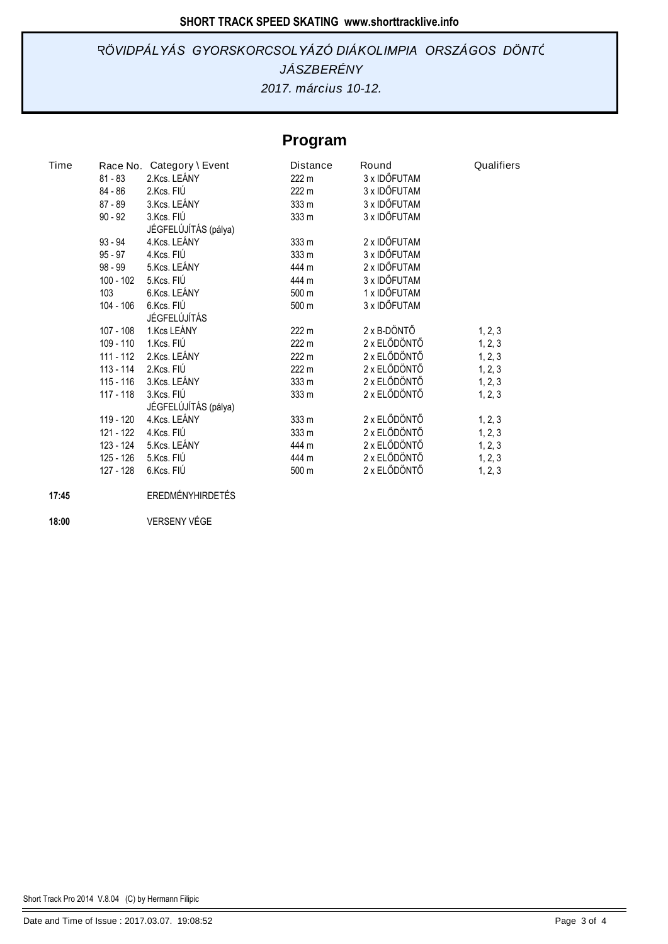# *JÁSZBERÉNY RÖVIDPÁLYÁS GYORSKORCSOLYÁZÓ DIÁKOLIMPIA ORSZÁGOS DÖNTŐ*

*2017. március 10-12.*

# **Program**

| Time |             | Race No. Category \ Event | <b>Distance</b>  | Round        | Qualifiers |
|------|-------------|---------------------------|------------------|--------------|------------|
|      | 81 - 83     | 2.Kcs. LEÁNY              | 222 m            | 3 x IDŐFUTAM |            |
|      | 84 - 86     | 2.Kcs. FIÚ                | 222 m            | 3 x IDŐFUTAM |            |
|      | 87 - 89     | 3.Kcs. LEÁNY              | 333 m            | 3 x IDŐFUTAM |            |
|      | $90 - 92$   | 3.Kcs. FIÚ                | 333 <sub>m</sub> | 3 x IDŐFUTAM |            |
|      |             | JÉGFELÚJÍTÁS (pálya)      |                  |              |            |
|      | $93 - 94$   | 4.Kcs. LEÁNY              | 333 m            | 2 x IDŐFUTAM |            |
|      | 95 - 97     | 4.Kcs. FIÚ                | 333 m            | 3 x IDŐFUTAM |            |
|      | 98 - 99     | 5.Kcs. LEÁNY              | 444 m            | 2 x IDŐFUTAM |            |
|      | $100 - 102$ | 5.Kcs. FIÚ                | 444 m            | 3 x IDŐFUTAM |            |
|      | 103         | 6.Kcs. LEÁNY              | 500 m            | 1 x IDŐFUTAM |            |
|      | 104 - 106   | 6.Kcs. FIÚ                | 500 m            | 3 x IDŐFUTAM |            |
|      |             | JÉGFELÚJÍTÁS              |                  |              |            |
|      | 107 - 108   | 1.Kcs LEÁNY               | 222 m            | 2 x B-DÖNTŐ  | 1, 2, 3    |
|      | 109 - 110   | 1.Kcs. FIÚ                | 222 m            | 2 x ELŐDÖNTŐ | 1, 2, 3    |
|      | 111 - 112   | 2.Kcs. LEÁNY              | 222 m            | 2 x ELŐDÖNTŐ | 1, 2, 3    |
|      | 113 - 114   | 2.Kcs. FIÚ                | 222 m            | 2 x ELŐDÖNTŐ | 1, 2, 3    |
|      | 115 - 116   | 3.Kcs. LEÁNY              | 333 m            | 2 x ELŐDÖNTŐ | 1, 2, 3    |
|      | 117 - 118   | 3.Kcs. FIÚ                | 333 m            | 2 x ELŐDÖNTŐ | 1, 2, 3    |
|      |             | JÉGFELÚJÍTÁS (pálya)      |                  |              |            |
|      | 119 - 120   | 4.Kcs. LEÁNY              | 333 m            | 2 x ELŐDÖNTŐ | 1, 2, 3    |
|      | 121 - 122   | 4.Kcs. FIÚ                | 333 m            | 2 x ELŐDÖNTŐ | 1, 2, 3    |
|      | 123 - 124   | 5.Kcs. LEÁNY              | 444 m            | 2 x ELŐDÖNTŐ | 1, 2, 3    |
|      | 125 - 126   | 5.Kcs. FIÚ                | 444 m            | 2 x ELŐDÖNTŐ | 1, 2, 3    |
|      | 127 - 128   | 6.Kcs. FIÚ                | 500 m            | 2 x ELŐDÖNTŐ | 1, 2, 3    |

#### **17:45** EREDMÉNYHIRDETÉS

**18:00** VERSENY VÉGE

Short Track Pro 2014 V.8.04 (C) by Hermann Filipic